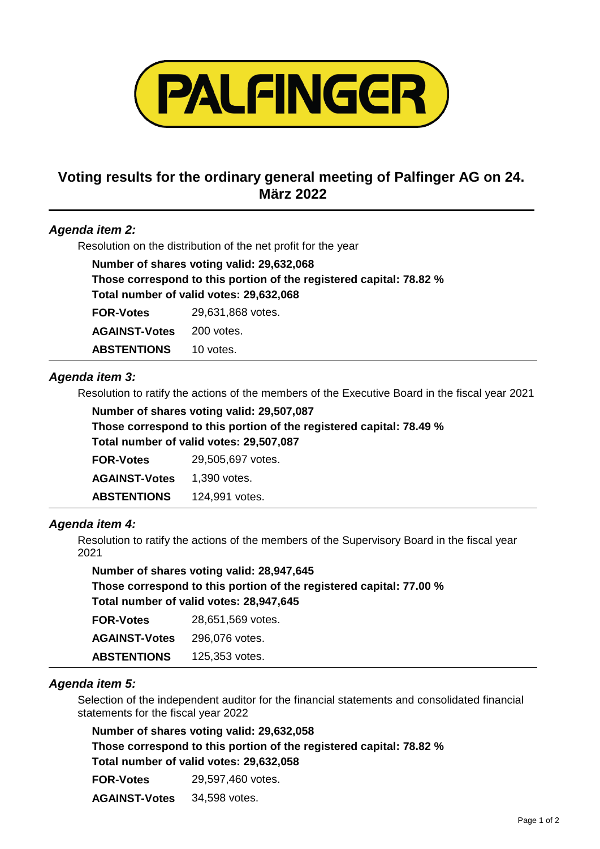

# **Voting results for the ordinary general meeting of Palfinger AG on 24. März 2022**

#### *Agenda item 2:*

Resolution on the distribution of the net profit for the year

| Number of shares voting valid: 29,632,068                           |                   |  |  |
|---------------------------------------------------------------------|-------------------|--|--|
| Those correspond to this portion of the registered capital: 78.82 % |                   |  |  |
| Total number of valid votes: 29,632,068                             |                   |  |  |
| <b>FOR-Votes</b>                                                    | 29,631,868 votes. |  |  |
| <b>AGAINST-Votes</b>                                                | 200 votes.        |  |  |
| <b>ABSTENTIONS</b>                                                  | 10 votes.         |  |  |

#### *Agenda item 3:*

Resolution to ratify the actions of the members of the Executive Board in the fiscal year 2021

| Number of shares voting valid: 29,507,087                           |
|---------------------------------------------------------------------|
| Those correspond to this portion of the registered capital: 78.49 % |
| Total number of valid votes: 29,507,087                             |

| <b>FOR-Votes</b>     | 29,505,697 votes. |
|----------------------|-------------------|
| <b>AGAINST-Votes</b> | 1.390 votes.      |
| <b>ABSTENTIONS</b>   | 124,991 votes.    |

#### *Agenda item 4:*

Resolution to ratify the actions of the members of the Supervisory Board in the fiscal year 2021

**Number of shares voting valid: 28,947,645 Those correspond to this portion of the registered capital: 77.00 % Total number of valid votes: 28,947,645**

| <b>FOR-Votes</b>     | 28,651,569 votes. |
|----------------------|-------------------|
| <b>AGAINST-Votes</b> | 296.076 votes.    |
| <b>ABSTENTIONS</b>   | 125,353 votes.    |

#### *Agenda item 5:*

Selection of the independent auditor for the financial statements and consolidated financial statements for the fiscal year 2022

**Number of shares voting valid: 29,632,058 Those correspond to this portion of the registered capital: 78.82 % Total number of valid votes: 29,632,058**

**FOR-Votes** 29,597,460 votes.

**AGAINST-Votes** 34,598 votes.